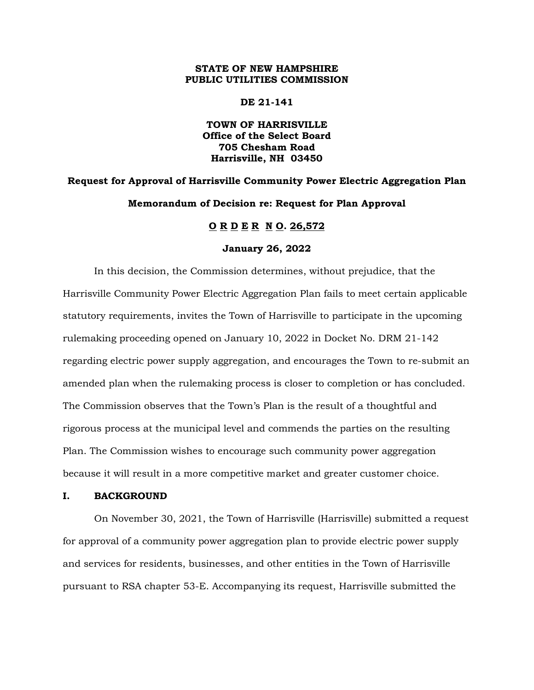# **STATE OF NEW HAMPSHIRE PUBLIC UTILITIES COMMISSION**

**DE 21-141**

**TOWN OF HARRISVILLE Office of the Select Board 705 Chesham Road Harrisville, NH 03450**

# **Request for Approval of Harrisville Community Power Electric Aggregation Plan Memorandum of Decision re: Request for Plan Approval**

# **O R D E R N O. 26,572**

#### **January 26, 2022**

In this decision, the Commission determines, without prejudice, that the Harrisville Community Power Electric Aggregation Plan fails to meet certain applicable statutory requirements, invites the Town of Harrisville to participate in the upcoming rulemaking proceeding opened on January 10, 2022 in Docket No. DRM 21-142 regarding electric power supply aggregation, and encourages the Town to re-submit an amended plan when the rulemaking process is closer to completion or has concluded. The Commission observes that the Town's Plan is the result of a thoughtful and rigorous process at the municipal level and commends the parties on the resulting Plan. The Commission wishes to encourage such community power aggregation because it will result in a more competitive market and greater customer choice.

## **I. BACKGROUND**

On November 30, 2021, the Town of Harrisville (Harrisville) submitted a request for approval of a community power aggregation plan to provide electric power supply and services for residents, businesses, and other entities in the Town of Harrisville pursuant to RSA chapter 53-E. Accompanying its request, Harrisville submitted the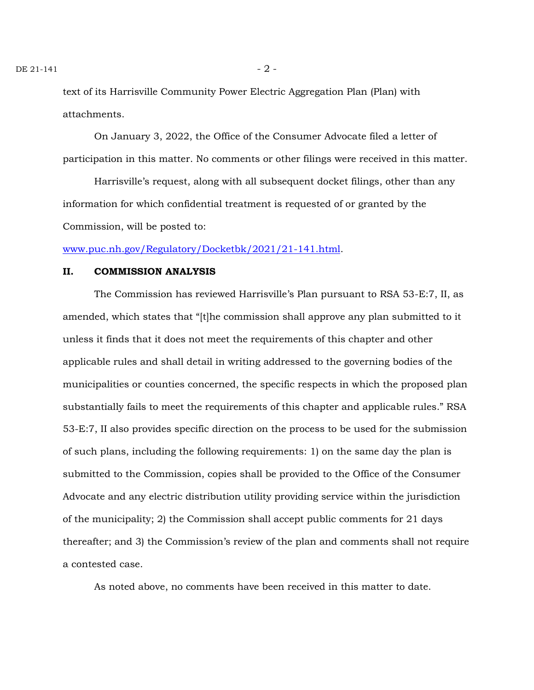text of its Harrisville Community Power Electric Aggregation Plan (Plan) with attachments.

On January 3, 2022, the Office of the Consumer Advocate filed a letter of participation in this matter. No comments or other filings were received in this matter.

Harrisville's request, along with all subsequent docket filings, other than any information for which confidential treatment is requested of or granted by the Commission, will be posted to:

[www.puc.nh.gov/Regulatory/Docketbk/2021/21-141.html.](http://www.puc.nh.gov/Regulatory/Docketbk/2021/21-141.html)

## **II. COMMISSION ANALYSIS**

The Commission has reviewed Harrisville's Plan pursuant to RSA 53-E:7, II, as amended, which states that "[t]he commission shall approve any plan submitted to it unless it finds that it does not meet the requirements of this chapter and other applicable rules and shall detail in writing addressed to the governing bodies of the municipalities or counties concerned, the specific respects in which the proposed plan substantially fails to meet the requirements of this chapter and applicable rules." RSA 53-E:7, II also provides specific direction on the process to be used for the submission of such plans, including the following requirements: 1) on the same day the plan is submitted to the Commission, copies shall be provided to the Office of the Consumer Advocate and any electric distribution utility providing service within the jurisdiction of the municipality; 2) the Commission shall accept public comments for 21 days thereafter; and 3) the Commission's review of the plan and comments shall not require a contested case.

As noted above, no comments have been received in this matter to date.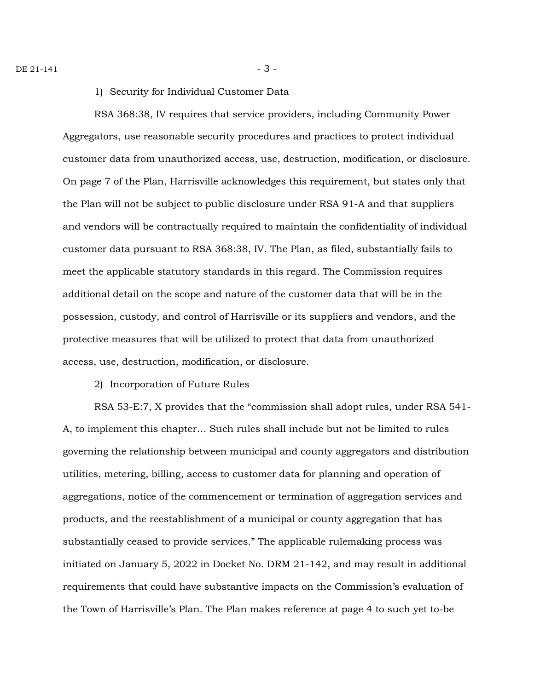1) Security for Individual Customer Data

RSA 368:38, IV requires that service providers, including Community Power Aggregators, use reasonable security procedures and practices to protect individual customer data from unauthorized access, use, destruction, modification, or disclosure. On page 7 of the Plan, Harrisville acknowledges this requirement, but states only that the Plan will not be subject to public disclosure under RSA 91-A and that suppliers and vendors will be contractually required to maintain the confidentiality of individual customer data pursuant to RSA 368:38, IV. The Plan, as filed, substantially fails to meet the applicable statutory standards in this regard. The Commission requires additional detail on the scope and nature of the customer data that will be in the possession, custody, and control of Harrisville or its suppliers and vendors, and the protective measures that will be utilized to protect that data from unauthorized access, use, destruction, modification, or disclosure.

2) Incorporation of Future Rules

RSA 53-E:7, X provides that the "commission shall adopt rules, under RSA 541- A, to implement this chapter… Such rules shall include but not be limited to rules governing the relationship between municipal and county aggregators and distribution utilities, metering, billing, access to customer data for planning and operation of aggregations, notice of the commencement or termination of aggregation services and products, and the reestablishment of a municipal or county aggregation that has substantially ceased to provide services." The applicable rulemaking process was initiated on January 5, 2022 in Docket No. DRM 21-142, and may result in additional requirements that could have substantive impacts on the Commission's evaluation of the Town of Harrisville's Plan. The Plan makes reference at page 4 to such yet to-be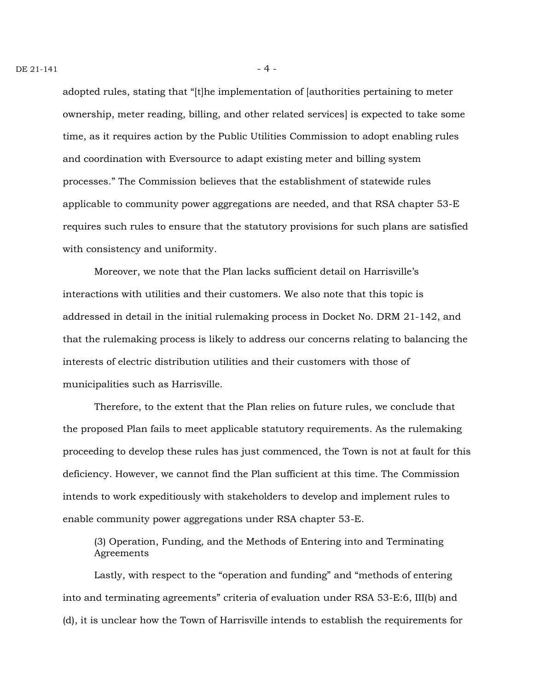adopted rules, stating that "[t]he implementation of [authorities pertaining to meter ownership, meter reading, billing, and other related services] is expected to take some time, as it requires action by the Public Utilities Commission to adopt enabling rules and coordination with Eversource to adapt existing meter and billing system processes." The Commission believes that the establishment of statewide rules applicable to community power aggregations are needed, and that RSA chapter 53-E requires such rules to ensure that the statutory provisions for such plans are satisfied with consistency and uniformity.

Moreover, we note that the Plan lacks sufficient detail on Harrisville's interactions with utilities and their customers. We also note that this topic is addressed in detail in the initial rulemaking process in Docket No. DRM 21-142, and that the rulemaking process is likely to address our concerns relating to balancing the interests of electric distribution utilities and their customers with those of municipalities such as Harrisville.

Therefore, to the extent that the Plan relies on future rules, we conclude that the proposed Plan fails to meet applicable statutory requirements. As the rulemaking proceeding to develop these rules has just commenced, the Town is not at fault for this deficiency. However, we cannot find the Plan sufficient at this time. The Commission intends to work expeditiously with stakeholders to develop and implement rules to enable community power aggregations under RSA chapter 53-E.

(3) Operation, Funding, and the Methods of Entering into and Terminating Agreements

Lastly, with respect to the "operation and funding" and "methods of entering into and terminating agreements" criteria of evaluation under RSA 53-E:6, III(b) and (d), it is unclear how the Town of Harrisville intends to establish the requirements for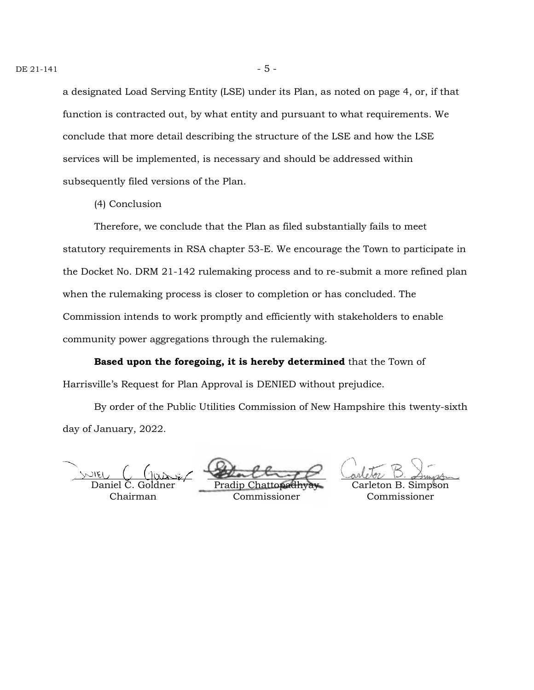a designated Load Serving Entity (LSE) under its Plan, as noted on page 4, or, if that function is contracted out, by what entity and pursuant to what requirements. We conclude that more detail describing the structure of the LSE and how the LSE services will be implemented, is necessary and should be addressed within subsequently filed versions of the Plan.

(4) Conclusion

Therefore, we conclude that the Plan as filed substantially fails to meet statutory requirements in RSA chapter 53-E. We encourage the Town to participate in the Docket No. DRM 21-142 rulemaking process and to re-submit a more refined plan when the rulemaking process is closer to completion or has concluded. The Commission intends to work promptly and efficiently with stakeholders to enable community power aggregations through the rulemaking.

**Based upon the foregoing, it is hereby determined** that the Town of Harrisville's Request for Plan Approval is DENIED without prejudice.

By order of the Public Utilities Commission of New Hampshire this twenty-sixth day of January, 2022.

Daniel C. Goldner Chairman

Pradip Chattopadhyay Commissioner

Carleton B. Simpson Commissioner